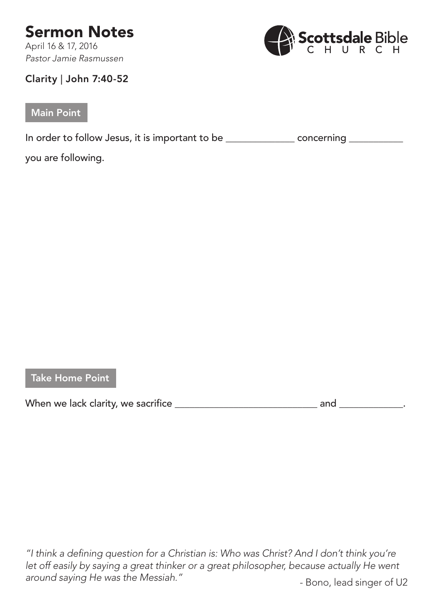## Sermon Notes

April 16 & 17, 2016 *Pastor Jamie Rasmussen*



## Clarity | John 7:40-52

## Main Point

In order to follow Jesus, it is important to be \_\_\_\_\_\_\_\_\_\_\_\_\_\_\_\_\_\_ concerning \_\_\_\_\_\_\_\_\_

you are following.

Take Home Point

When we lack clarity, we sacrifice \_\_\_\_\_\_\_\_\_\_\_\_\_\_\_\_\_\_\_\_\_\_\_\_\_\_\_\_\_ and \_\_\_\_\_\_\_\_\_\_\_\_\_.

*"I think a defining question for a Christian is: Who was Christ? And I don't think you're let off easily by saying a great thinker or a great philosopher, because actually He went*  around saying He was the Messiah." **Figure 2016** - Bono, lead singer of U2